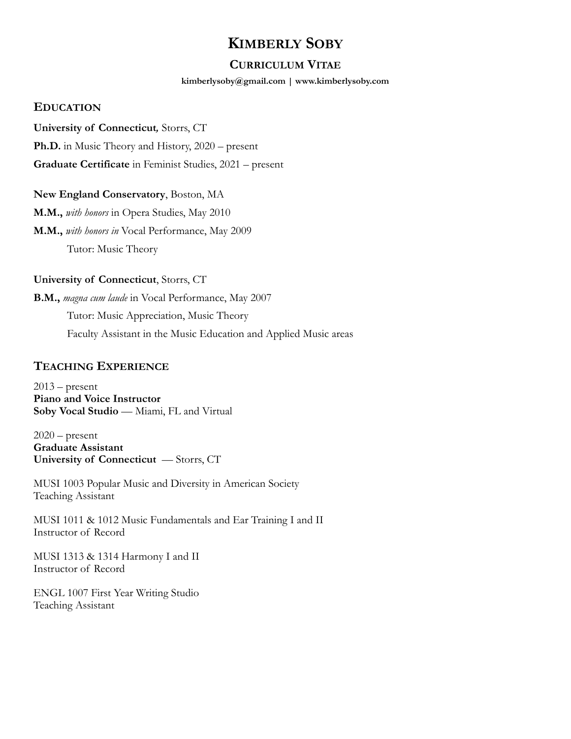## **KIMBERLY SOBY**

### **CURRICULUM VITAE**

#### **[kimberlysoby@gmail.com](mailto:kimberlysoby@gmail.com) | www.kimberlysoby.com**

### **EDUCATION**

### **University of Connecticut***,* Storrs, CT

**Ph.D.** in Music Theory and History, 2020 – present

**Graduate Certificate** in Feminist Studies, 2021 – present

### **New England Conservatory**, Boston, MA

**M.M.,** *with honors* in Opera Studies, May 2010 **M.M.,** *with honors in* Vocal Performance, May 2009 Tutor: Music Theory

### **University of Connecticut**, Storrs, CT

**B.M.,** *magna cum laude* in Vocal Performance, May 2007 Tutor: Music Appreciation, Music Theory Faculty Assistant in the Music Education and Applied Music areas

## **TEACHING EXPERIENCE**

 $2013$  – present **Piano and Voice Instructor Soby Vocal Studio** — Miami, FL and Virtual

 $2020$  – present **Graduate Assistant University of Connecticut** — Storrs, CT

MUSI 1003 Popular Music and Diversity in American Society Teaching Assistant

MUSI 1011 & 1012 Music Fundamentals and Ear Training I and II Instructor of Record

MUSI 1313 & 1314 Harmony I and II Instructor of Record

ENGL 1007 First Year Writing Studio Teaching Assistant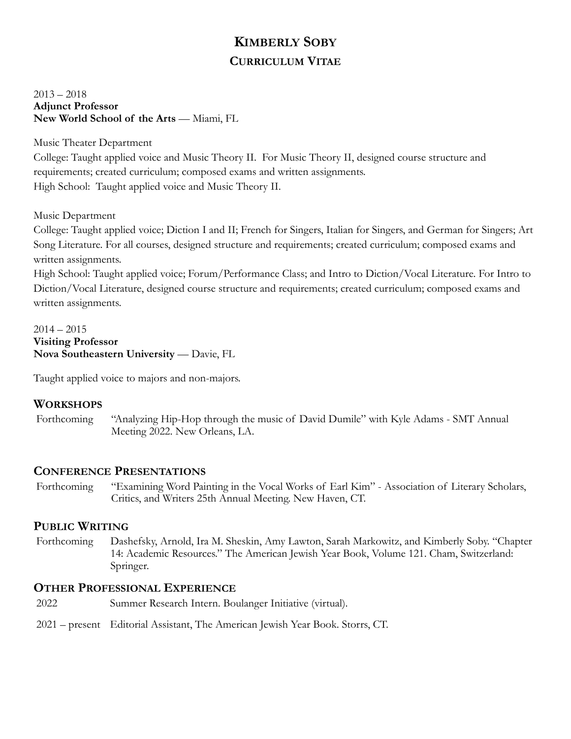# **KIMBERLY SOBY CURRICULUM VITAE**

2013 – 2018 **Adjunct Professor New World School of the Arts** — Miami, FL

Music Theater Department

College: Taught applied voice and Music Theory II. For Music Theory II, designed course structure and requirements; created curriculum; composed exams and written assignments. High School: Taught applied voice and Music Theory II.

Music Department

College: Taught applied voice; Diction I and II; French for Singers, Italian for Singers, and German for Singers; Art Song Literature. For all courses, designed structure and requirements; created curriculum; composed exams and written assignments.

High School: Taught applied voice; Forum/Performance Class; and Intro to Diction/Vocal Literature. For Intro to Diction/Vocal Literature, designed course structure and requirements; created curriculum; composed exams and written assignments.

 $2014 - 2015$ **Visiting Professor Nova Southeastern University** — Davie, FL

Taught applied voice to majors and non-majors.

## **WORKSHOPS**

Forthcoming "Analyzing Hip-Hop through the music of David Dumile" with Kyle Adams - SMT Annual Meeting 2022. New Orleans, LA.

## **CONFERENCE PRESENTATIONS**

Forthcoming "Examining Word Painting in the Vocal Works of Earl Kim" - Association of Literary Scholars, Critics, and Writers 25th Annual Meeting. New Haven, CT.

## **PUBLIC WRITING**

Forthcoming Dashefsky, Arnold, Ira M. Sheskin, Amy Lawton, Sarah Markowitz, and Kimberly Soby. "Chapter 14: Academic Resources." The American Jewish Year Book, Volume 121. Cham, Switzerland: Springer.

## **OTHER PROFESSIONAL EXPERIENCE**

- 2022 Summer Research Intern. Boulanger Initiative (virtual).
- 2021 present Editorial Assistant, The American Jewish Year Book. Storrs, CT.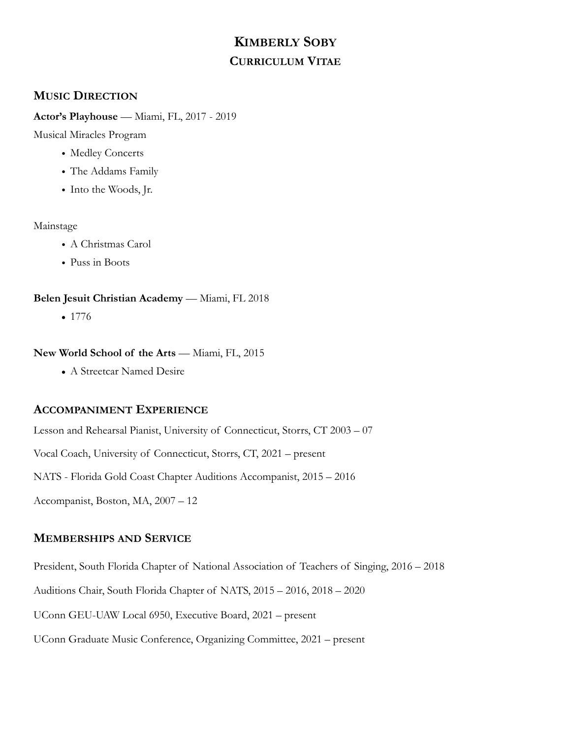# **KIMBERLY SOBY CURRICULUM VITAE**

## **MUSIC DIRECTION**

### **Actor's Playhouse** — Miami, FL, 2017 - 2019

Musical Miracles Program

- Medley Concerts
- The Addams Family
- Into the Woods, Jr.

### Mainstage

- A Christmas Carol
- Puss in Boots

### Belen Jesuit Christian Academy — Miami, FL 2018

**•** 1776

### **New World School of the Arts** — Miami, FL, 2015

**•** A Streetcar Named Desire

## **ACCOMPANIMENT EXPERIENCE**

Lesson and Rehearsal Pianist, University of Connecticut, Storrs, CT 2003 – 07

Vocal Coach, University of Connecticut, Storrs, CT, 2021 – present

NATS - Florida Gold Coast Chapter Auditions Accompanist, 2015 – 2016

Accompanist, Boston, MA, 2007 – 12

## **MEMBERSHIPS AND SERVICE**

President, South Florida Chapter of National Association of Teachers of Singing, 2016 – 2018

Auditions Chair, South Florida Chapter of NATS, 2015 – 2016, 2018 – 2020

UConn GEU-UAW Local 6950, Executive Board, 2021 – present

UConn Graduate Music Conference, Organizing Committee, 2021 – present